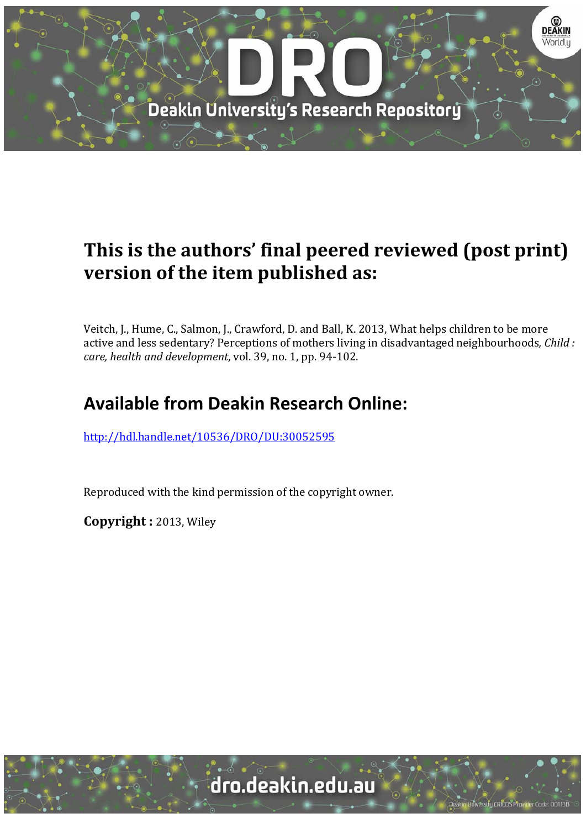

# **This is the authors' final peered reviewed (post print) version of the item published as:**

Veitch, J., Hume, C., Salmon, J., Crawford, D. and Ball, K. 2013, What helps children to be more active and less sedentary? Perceptions of mothers living in disadvantaged neighbourhoods, *Child : care, health and development, vol.* 39, no. 1, pp. 94-102.

# **Available from Deakin Research Online:**

http://hdl.handle.net/10536/DRO/DU:30052595

Reproduced with the kind permission of the copyright owner.

**Copyright :** 2013, Wiley 

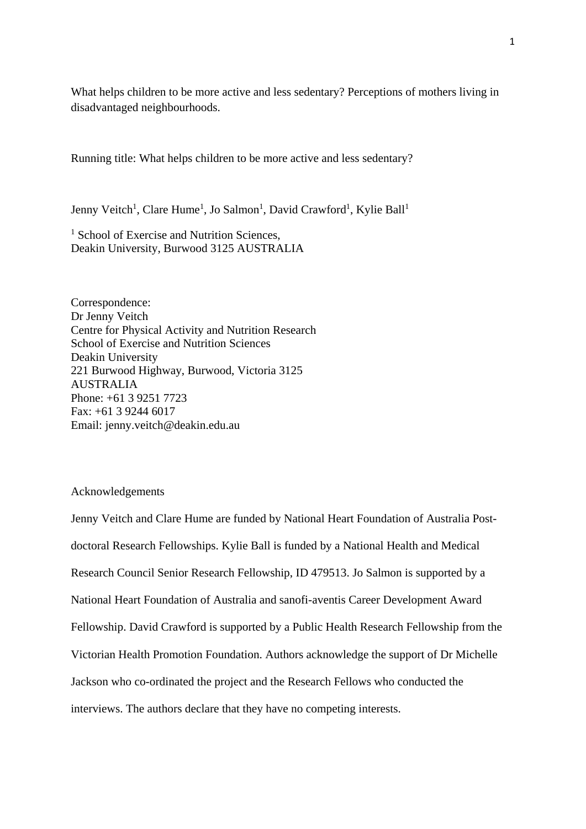What helps children to be more active and less sedentary? Perceptions of mothers living in disadvantaged neighbourhoods.

Running title: What helps children to be more active and less sedentary?

Jenny Veitch<sup>1</sup>, Clare Hume<sup>1</sup>, Jo Salmon<sup>1</sup>, David Crawford<sup>1</sup>, Kylie Ball<sup>1</sup>

<sup>1</sup> School of Exercise and Nutrition Sciences, Deakin University, Burwood 3125 AUSTRALIA

Correspondence: Dr Jenny Veitch Centre for Physical Activity and Nutrition Research School of Exercise and Nutrition Sciences Deakin University 221 Burwood Highway, Burwood, Victoria 3125 AUSTRALIA Phone: +61 3 9251 7723 Fax: +61 3 9244 6017 Email: jenny.veitch@deakin.edu.au

## Acknowledgements

Jenny Veitch and Clare Hume are funded by National Heart Foundation of Australia Postdoctoral Research Fellowships. Kylie Ball is funded by a National Health and Medical Research Council Senior Research Fellowship, ID 479513. Jo Salmon is supported by a National Heart Foundation of Australia and sanofi-aventis Career Development Award Fellowship. David Crawford is supported by a Public Health Research Fellowship from the Victorian Health Promotion Foundation. Authors acknowledge the support of Dr Michelle Jackson who co-ordinated the project and the Research Fellows who conducted the interviews. The authors declare that they have no competing interests.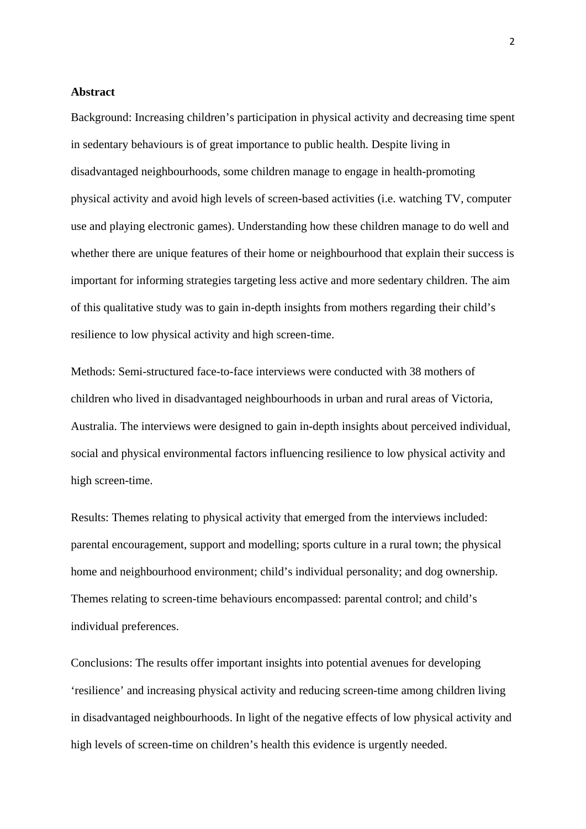## **Abstract**

Background: Increasing children's participation in physical activity and decreasing time spent in sedentary behaviours is of great importance to public health. Despite living in disadvantaged neighbourhoods, some children manage to engage in health-promoting physical activity and avoid high levels of screen-based activities (i.e. watching TV, computer use and playing electronic games). Understanding how these children manage to do well and whether there are unique features of their home or neighbourhood that explain their success is important for informing strategies targeting less active and more sedentary children. The aim of this qualitative study was to gain in-depth insights from mothers regarding their child's resilience to low physical activity and high screen-time.

Methods: Semi-structured face-to-face interviews were conducted with 38 mothers of children who lived in disadvantaged neighbourhoods in urban and rural areas of Victoria, Australia. The interviews were designed to gain in-depth insights about perceived individual, social and physical environmental factors influencing resilience to low physical activity and high screen-time.

Results: Themes relating to physical activity that emerged from the interviews included: parental encouragement, support and modelling; sports culture in a rural town; the physical home and neighbourhood environment; child's individual personality; and dog ownership. Themes relating to screen-time behaviours encompassed: parental control; and child's individual preferences.

Conclusions: The results offer important insights into potential avenues for developing 'resilience' and increasing physical activity and reducing screen-time among children living in disadvantaged neighbourhoods. In light of the negative effects of low physical activity and high levels of screen-time on children's health this evidence is urgently needed.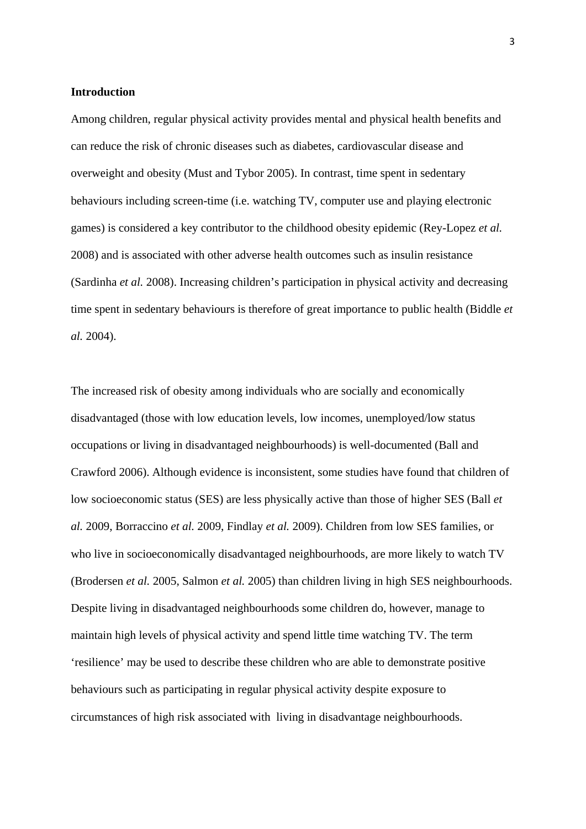## **Introduction**

Among children, regular physical activity provides mental and physical health benefits and can reduce the risk of chronic diseases such as diabetes, cardiovascular disease and overweight and obesity (Must and Tybor 2005). In contrast, time spent in sedentary behaviours including screen-time (i.e. watching TV, computer use and playing electronic games) is considered a key contributor to the childhood obesity epidemic (Rey-Lopez *et al.* 2008) and is associated with other adverse health outcomes such as insulin resistance (Sardinha *et al.* 2008). Increasing children's participation in physical activity and decreasing time spent in sedentary behaviours is therefore of great importance to public health (Biddle *et al.* 2004).

The increased risk of obesity among individuals who are socially and economically disadvantaged (those with low education levels, low incomes, unemployed/low status occupations or living in disadvantaged neighbourhoods) is well-documented (Ball and Crawford 2006). Although evidence is inconsistent, some studies have found that children of low socioeconomic status (SES) are less physically active than those of higher SES (Ball *et al.* 2009, Borraccino *et al.* 2009, Findlay *et al.* 2009). Children from low SES families, or who live in socioeconomically disadvantaged neighbourhoods, are more likely to watch TV (Brodersen *et al.* 2005, Salmon *et al.* 2005) than children living in high SES neighbourhoods. Despite living in disadvantaged neighbourhoods some children do, however, manage to maintain high levels of physical activity and spend little time watching TV. The term 'resilience' may be used to describe these children who are able to demonstrate positive behaviours such as participating in regular physical activity despite exposure to circumstances of high risk associated with living in disadvantage neighbourhoods.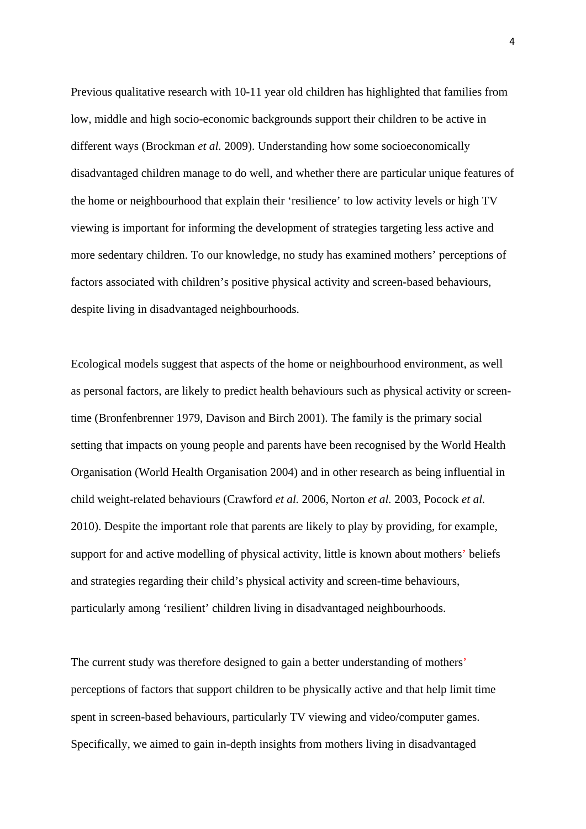Previous qualitative research with 10-11 year old children has highlighted that families from low, middle and high socio-economic backgrounds support their children to be active in different ways (Brockman *et al.* 2009). Understanding how some socioeconomically disadvantaged children manage to do well, and whether there are particular unique features of the home or neighbourhood that explain their 'resilience' to low activity levels or high TV viewing is important for informing the development of strategies targeting less active and more sedentary children. To our knowledge, no study has examined mothers' perceptions of factors associated with children's positive physical activity and screen-based behaviours, despite living in disadvantaged neighbourhoods.

Ecological models suggest that aspects of the home or neighbourhood environment, as well as personal factors, are likely to predict health behaviours such as physical activity or screentime (Bronfenbrenner 1979, Davison and Birch 2001). The family is the primary social setting that impacts on young people and parents have been recognised by the World Health Organisation (World Health Organisation 2004) and in other research as being influential in child weight-related behaviours (Crawford *et al.* 2006, Norton *et al.* 2003, Pocock *et al.* 2010). Despite the important role that parents are likely to play by providing, for example, support for and active modelling of physical activity, little is known about mothers' beliefs and strategies regarding their child's physical activity and screen-time behaviours, particularly among 'resilient' children living in disadvantaged neighbourhoods.

The current study was therefore designed to gain a better understanding of mothers' perceptions of factors that support children to be physically active and that help limit time spent in screen-based behaviours, particularly TV viewing and video/computer games. Specifically, we aimed to gain in-depth insights from mothers living in disadvantaged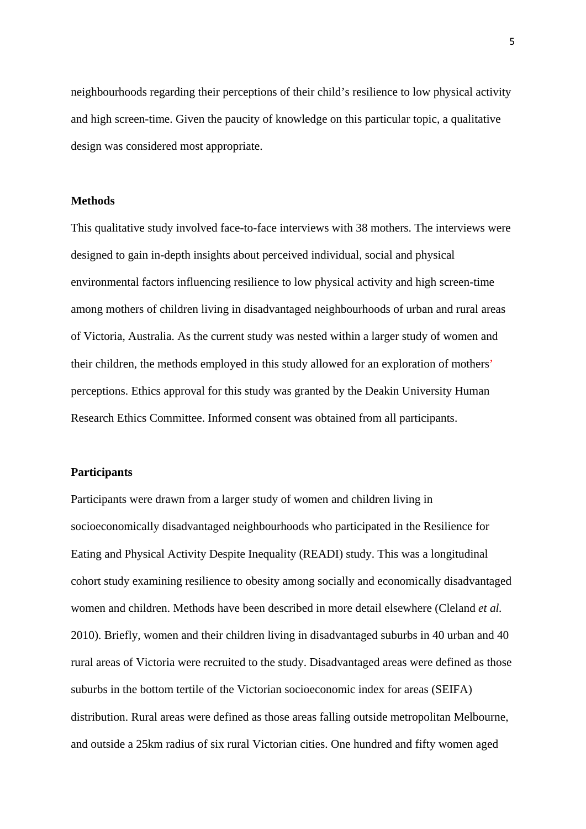neighbourhoods regarding their perceptions of their child's resilience to low physical activity and high screen-time. Given the paucity of knowledge on this particular topic, a qualitative design was considered most appropriate.

# **Methods**

This qualitative study involved face-to-face interviews with 38 mothers. The interviews were designed to gain in-depth insights about perceived individual, social and physical environmental factors influencing resilience to low physical activity and high screen-time among mothers of children living in disadvantaged neighbourhoods of urban and rural areas of Victoria, Australia. As the current study was nested within a larger study of women and their children, the methods employed in this study allowed for an exploration of mothers' perceptions. Ethics approval for this study was granted by the Deakin University Human Research Ethics Committee. Informed consent was obtained from all participants.

#### **Participants**

Participants were drawn from a larger study of women and children living in socioeconomically disadvantaged neighbourhoods who participated in the Resilience for Eating and Physical Activity Despite Inequality (READI) study. This was a longitudinal cohort study examining resilience to obesity among socially and economically disadvantaged women and children. Methods have been described in more detail elsewhere (Cleland *et al.* 2010). Briefly, women and their children living in disadvantaged suburbs in 40 urban and 40 rural areas of Victoria were recruited to the study. Disadvantaged areas were defined as those suburbs in the bottom tertile of the Victorian socioeconomic index for areas (SEIFA) distribution. Rural areas were defined as those areas falling outside metropolitan Melbourne, and outside a 25km radius of six rural Victorian cities. One hundred and fifty women aged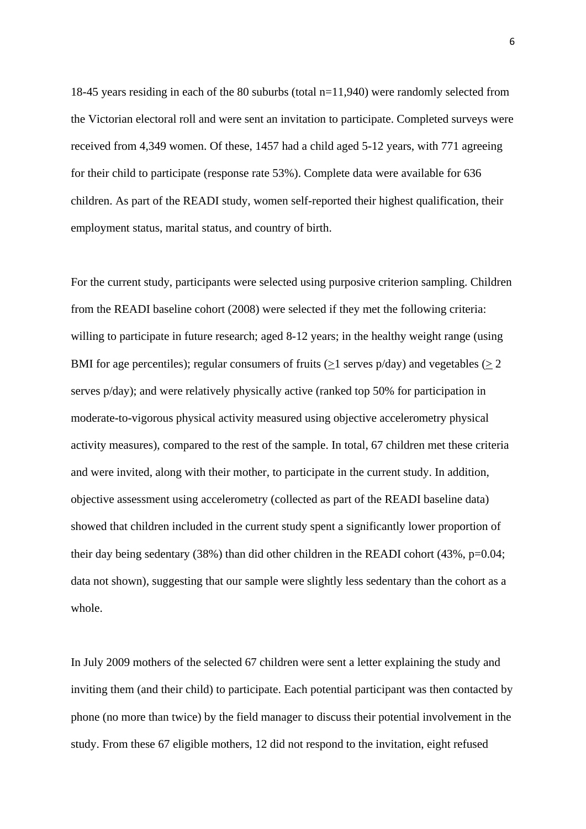18-45 years residing in each of the 80 suburbs (total n=11,940) were randomly selected from the Victorian electoral roll and were sent an invitation to participate. Completed surveys were received from 4,349 women. Of these, 1457 had a child aged 5-12 years, with 771 agreeing for their child to participate (response rate 53%). Complete data were available for 636 children. As part of the READI study, women self-reported their highest qualification, their employment status, marital status, and country of birth.

For the current study, participants were selected using purposive criterion sampling. Children from the READI baseline cohort (2008) were selected if they met the following criteria: willing to participate in future research; aged 8-12 years; in the healthy weight range (using BMI for age percentiles); regular consumers of fruits ( $>1$  serves p/day) and vegetables ( $>2$ serves p/day); and were relatively physically active (ranked top 50% for participation in moderate-to-vigorous physical activity measured using objective accelerometry physical activity measures), compared to the rest of the sample. In total, 67 children met these criteria and were invited, along with their mother, to participate in the current study. In addition, objective assessment using accelerometry (collected as part of the READI baseline data) showed that children included in the current study spent a significantly lower proportion of their day being sedentary (38%) than did other children in the READI cohort (43%, p=0.04; data not shown), suggesting that our sample were slightly less sedentary than the cohort as a whole.

In July 2009 mothers of the selected 67 children were sent a letter explaining the study and inviting them (and their child) to participate. Each potential participant was then contacted by phone (no more than twice) by the field manager to discuss their potential involvement in the study. From these 67 eligible mothers, 12 did not respond to the invitation, eight refused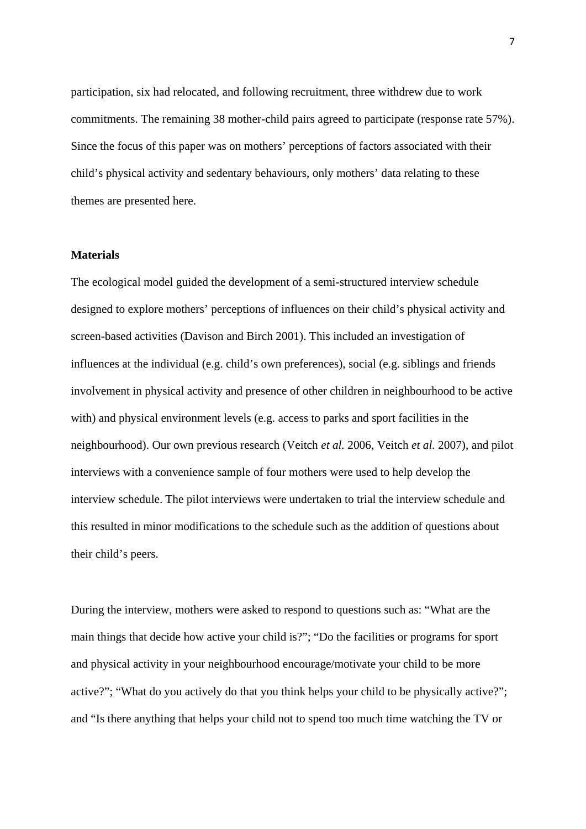participation, six had relocated, and following recruitment, three withdrew due to work commitments. The remaining 38 mother-child pairs agreed to participate (response rate 57%). Since the focus of this paper was on mothers' perceptions of factors associated with their child's physical activity and sedentary behaviours, only mothers' data relating to these themes are presented here.

## **Materials**

The ecological model guided the development of a semi-structured interview schedule designed to explore mothers' perceptions of influences on their child's physical activity and screen-based activities (Davison and Birch 2001). This included an investigation of influences at the individual (e.g. child's own preferences), social (e.g. siblings and friends involvement in physical activity and presence of other children in neighbourhood to be active with) and physical environment levels (e.g. access to parks and sport facilities in the neighbourhood). Our own previous research (Veitch *et al.* 2006, Veitch *et al.* 2007), and pilot interviews with a convenience sample of four mothers were used to help develop the interview schedule. The pilot interviews were undertaken to trial the interview schedule and this resulted in minor modifications to the schedule such as the addition of questions about their child's peers.

During the interview, mothers were asked to respond to questions such as: "What are the main things that decide how active your child is?"; "Do the facilities or programs for sport and physical activity in your neighbourhood encourage/motivate your child to be more active?"; "What do you actively do that you think helps your child to be physically active?"; and "Is there anything that helps your child not to spend too much time watching the TV or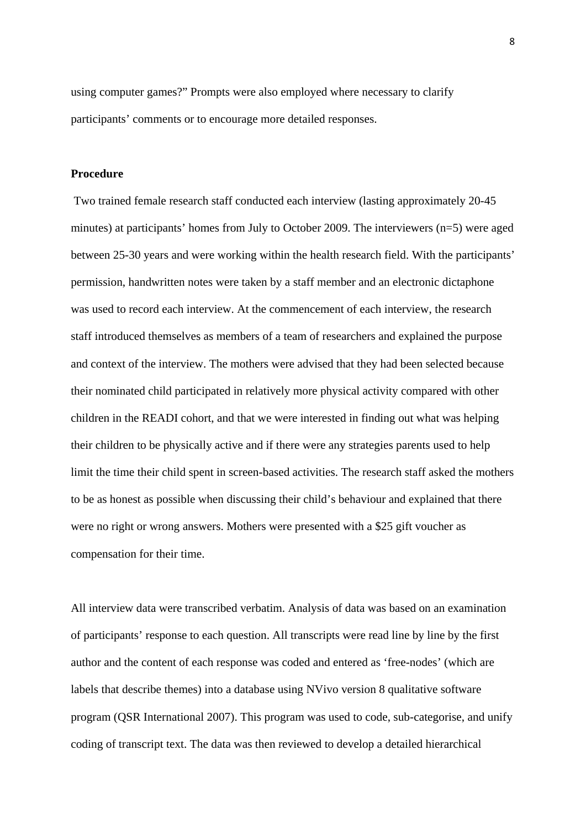using computer games?" Prompts were also employed where necessary to clarify participants' comments or to encourage more detailed responses.

#### **Procedure**

 Two trained female research staff conducted each interview (lasting approximately 20-45 minutes) at participants' homes from July to October 2009. The interviewers (n=5) were aged between 25-30 years and were working within the health research field. With the participants' permission, handwritten notes were taken by a staff member and an electronic dictaphone was used to record each interview. At the commencement of each interview, the research staff introduced themselves as members of a team of researchers and explained the purpose and context of the interview. The mothers were advised that they had been selected because their nominated child participated in relatively more physical activity compared with other children in the READI cohort, and that we were interested in finding out what was helping their children to be physically active and if there were any strategies parents used to help limit the time their child spent in screen-based activities. The research staff asked the mothers to be as honest as possible when discussing their child's behaviour and explained that there were no right or wrong answers. Mothers were presented with a \$25 gift voucher as compensation for their time.

All interview data were transcribed verbatim. Analysis of data was based on an examination of participants' response to each question. All transcripts were read line by line by the first author and the content of each response was coded and entered as 'free-nodes' (which are labels that describe themes) into a database using NVivo version 8 qualitative software program (QSR International 2007). This program was used to code, sub-categorise, and unify coding of transcript text. The data was then reviewed to develop a detailed hierarchical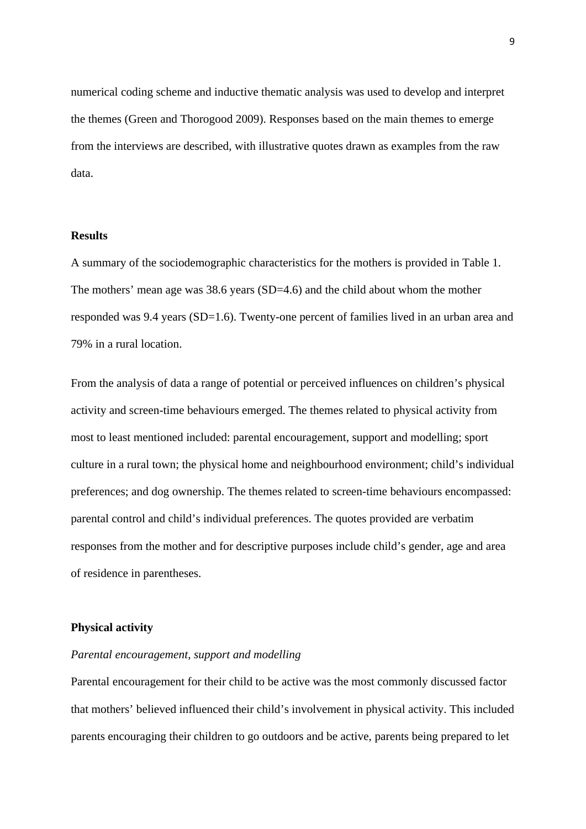numerical coding scheme and inductive thematic analysis was used to develop and interpret the themes (Green and Thorogood 2009). Responses based on the main themes to emerge from the interviews are described, with illustrative quotes drawn as examples from the raw data.

# **Results**

A summary of the sociodemographic characteristics for the mothers is provided in Table 1. The mothers' mean age was 38.6 years (SD=4.6) and the child about whom the mother responded was 9.4 years (SD=1.6). Twenty-one percent of families lived in an urban area and 79% in a rural location.

From the analysis of data a range of potential or perceived influences on children's physical activity and screen-time behaviours emerged. The themes related to physical activity from most to least mentioned included: parental encouragement, support and modelling; sport culture in a rural town; the physical home and neighbourhood environment; child's individual preferences; and dog ownership. The themes related to screen-time behaviours encompassed: parental control and child's individual preferences. The quotes provided are verbatim responses from the mother and for descriptive purposes include child's gender, age and area of residence in parentheses.

#### **Physical activity**

#### *Parental encouragement, support and modelling*

Parental encouragement for their child to be active was the most commonly discussed factor that mothers' believed influenced their child's involvement in physical activity. This included parents encouraging their children to go outdoors and be active, parents being prepared to let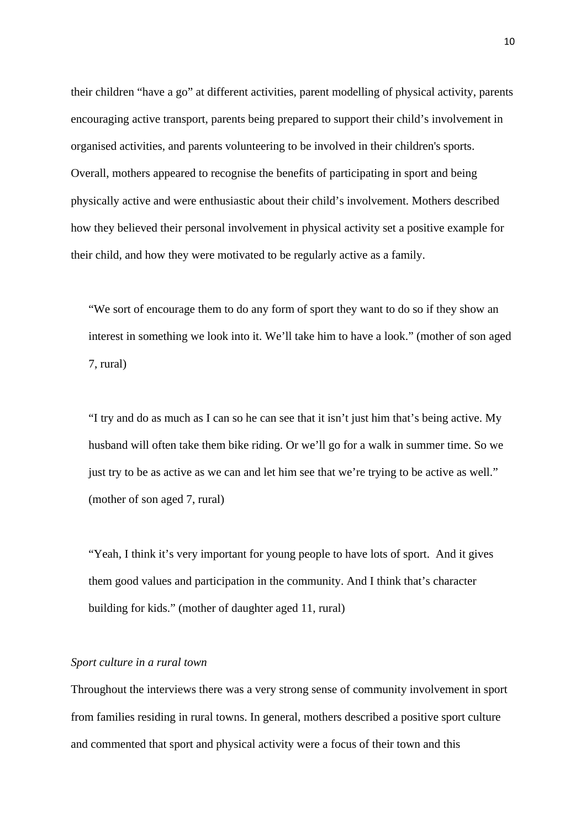their children "have a go" at different activities, parent modelling of physical activity, parents encouraging active transport, parents being prepared to support their child's involvement in organised activities, and parents volunteering to be involved in their children's sports. Overall, mothers appeared to recognise the benefits of participating in sport and being physically active and were enthusiastic about their child's involvement. Mothers described how they believed their personal involvement in physical activity set a positive example for their child, and how they were motivated to be regularly active as a family.

"We sort of encourage them to do any form of sport they want to do so if they show an interest in something we look into it. We'll take him to have a look." (mother of son aged 7, rural)

"I try and do as much as I can so he can see that it isn't just him that's being active. My husband will often take them bike riding. Or we'll go for a walk in summer time. So we just try to be as active as we can and let him see that we're trying to be active as well." (mother of son aged 7, rural)

"Yeah, I think it's very important for young people to have lots of sport. And it gives them good values and participation in the community. And I think that's character building for kids." (mother of daughter aged 11, rural)

# *Sport culture in a rural town*

Throughout the interviews there was a very strong sense of community involvement in sport from families residing in rural towns. In general, mothers described a positive sport culture and commented that sport and physical activity were a focus of their town and this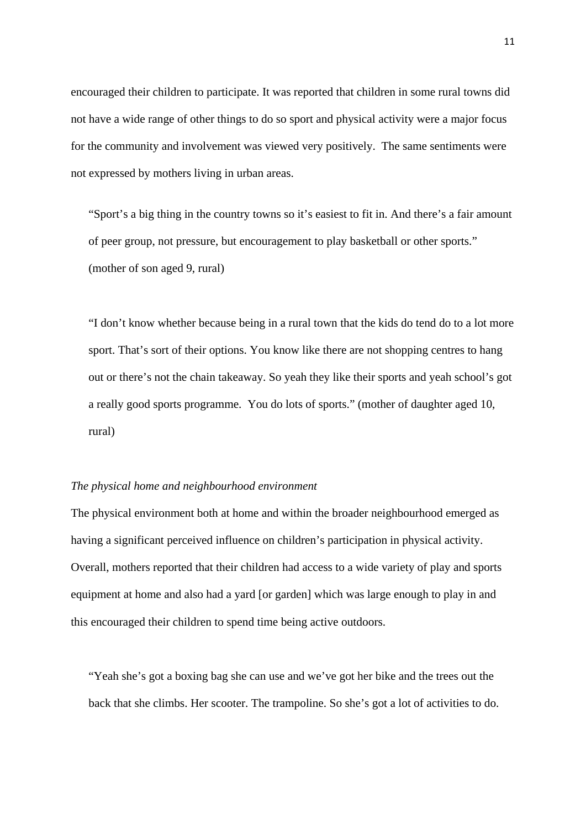encouraged their children to participate. It was reported that children in some rural towns did not have a wide range of other things to do so sport and physical activity were a major focus for the community and involvement was viewed very positively. The same sentiments were not expressed by mothers living in urban areas.

"Sport's a big thing in the country towns so it's easiest to fit in. And there's a fair amount of peer group, not pressure, but encouragement to play basketball or other sports." (mother of son aged 9, rural)

"I don't know whether because being in a rural town that the kids do tend do to a lot more sport. That's sort of their options. You know like there are not shopping centres to hang out or there's not the chain takeaway. So yeah they like their sports and yeah school's got a really good sports programme. You do lots of sports." (mother of daughter aged 10, rural)

#### *The physical home and neighbourhood environment*

The physical environment both at home and within the broader neighbourhood emerged as having a significant perceived influence on children's participation in physical activity. Overall, mothers reported that their children had access to a wide variety of play and sports equipment at home and also had a yard [or garden] which was large enough to play in and this encouraged their children to spend time being active outdoors.

"Yeah she's got a boxing bag she can use and we've got her bike and the trees out the back that she climbs. Her scooter. The trampoline. So she's got a lot of activities to do.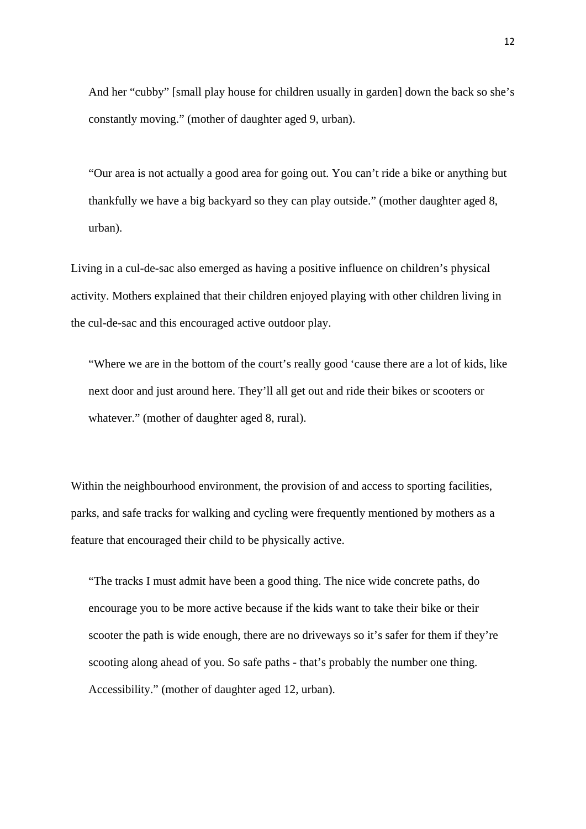And her "cubby" [small play house for children usually in garden] down the back so she's constantly moving." (mother of daughter aged 9, urban).

"Our area is not actually a good area for going out. You can't ride a bike or anything but thankfully we have a big backyard so they can play outside." (mother daughter aged 8, urban).

Living in a cul-de-sac also emerged as having a positive influence on children's physical activity. Mothers explained that their children enjoyed playing with other children living in the cul-de-sac and this encouraged active outdoor play.

"Where we are in the bottom of the court's really good 'cause there are a lot of kids, like next door and just around here. They'll all get out and ride their bikes or scooters or whatever." (mother of daughter aged 8, rural).

Within the neighbourhood environment, the provision of and access to sporting facilities, parks, and safe tracks for walking and cycling were frequently mentioned by mothers as a feature that encouraged their child to be physically active.

"The tracks I must admit have been a good thing. The nice wide concrete paths, do encourage you to be more active because if the kids want to take their bike or their scooter the path is wide enough, there are no driveways so it's safer for them if they're scooting along ahead of you. So safe paths - that's probably the number one thing. Accessibility." (mother of daughter aged 12, urban).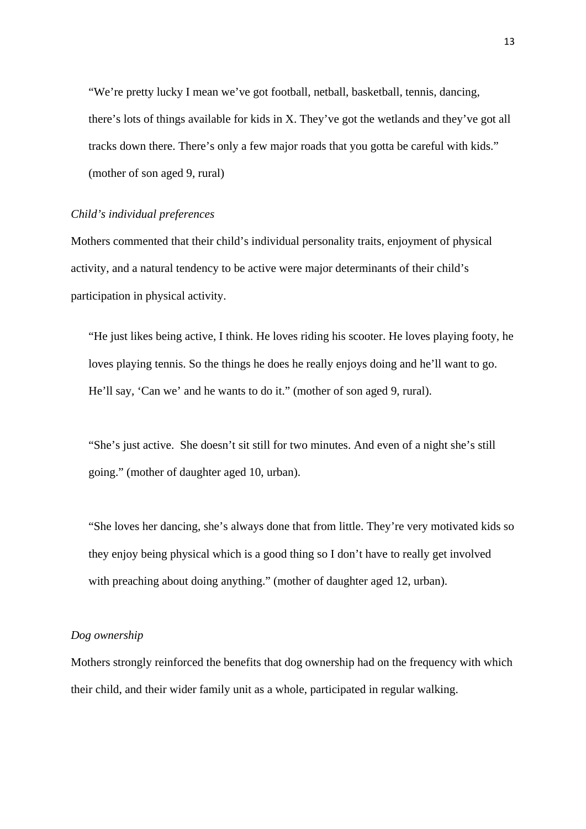"We're pretty lucky I mean we've got football, netball, basketball, tennis, dancing, there's lots of things available for kids in X. They've got the wetlands and they've got all tracks down there. There's only a few major roads that you gotta be careful with kids." (mother of son aged 9, rural)

## *Child's individual preferences*

Mothers commented that their child's individual personality traits, enjoyment of physical activity, and a natural tendency to be active were major determinants of their child's participation in physical activity.

"He just likes being active, I think. He loves riding his scooter. He loves playing footy, he loves playing tennis. So the things he does he really enjoys doing and he'll want to go. He'll say, 'Can we' and he wants to do it." (mother of son aged 9, rural).

"She's just active. She doesn't sit still for two minutes. And even of a night she's still going." (mother of daughter aged 10, urban).

"She loves her dancing, she's always done that from little. They're very motivated kids so they enjoy being physical which is a good thing so I don't have to really get involved with preaching about doing anything." (mother of daughter aged 12, urban).

#### *Dog ownership*

Mothers strongly reinforced the benefits that dog ownership had on the frequency with which their child, and their wider family unit as a whole, participated in regular walking.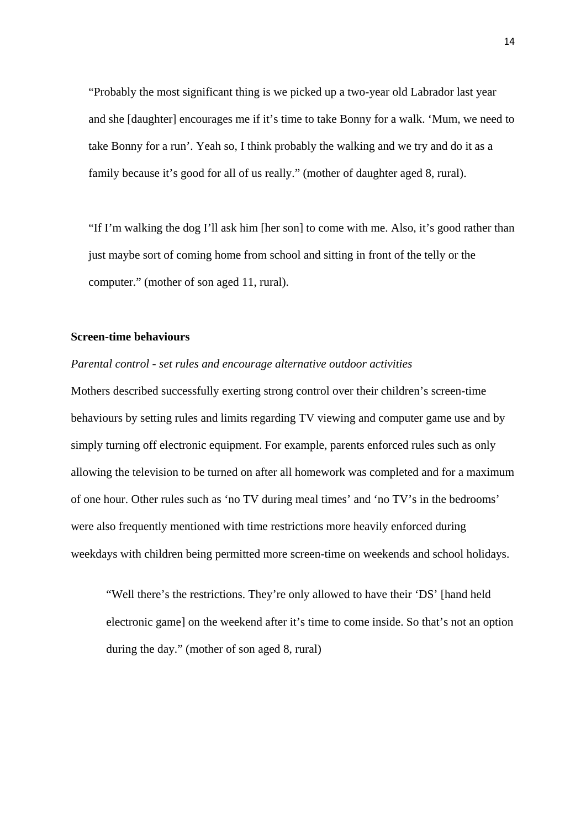"Probably the most significant thing is we picked up a two-year old Labrador last year and she [daughter] encourages me if it's time to take Bonny for a walk. 'Mum, we need to take Bonny for a run'. Yeah so, I think probably the walking and we try and do it as a family because it's good for all of us really." (mother of daughter aged 8, rural).

"If I'm walking the dog I'll ask him [her son] to come with me. Also, it's good rather than just maybe sort of coming home from school and sitting in front of the telly or the computer." (mother of son aged 11, rural).

#### **Screen-time behaviours**

#### *Parental control - set rules and encourage alternative outdoor activities*

Mothers described successfully exerting strong control over their children's screen-time behaviours by setting rules and limits regarding TV viewing and computer game use and by simply turning off electronic equipment. For example, parents enforced rules such as only allowing the television to be turned on after all homework was completed and for a maximum of one hour. Other rules such as 'no TV during meal times' and 'no TV's in the bedrooms' were also frequently mentioned with time restrictions more heavily enforced during weekdays with children being permitted more screen-time on weekends and school holidays.

"Well there's the restrictions. They're only allowed to have their 'DS' [hand held electronic game] on the weekend after it's time to come inside. So that's not an option during the day." (mother of son aged 8, rural)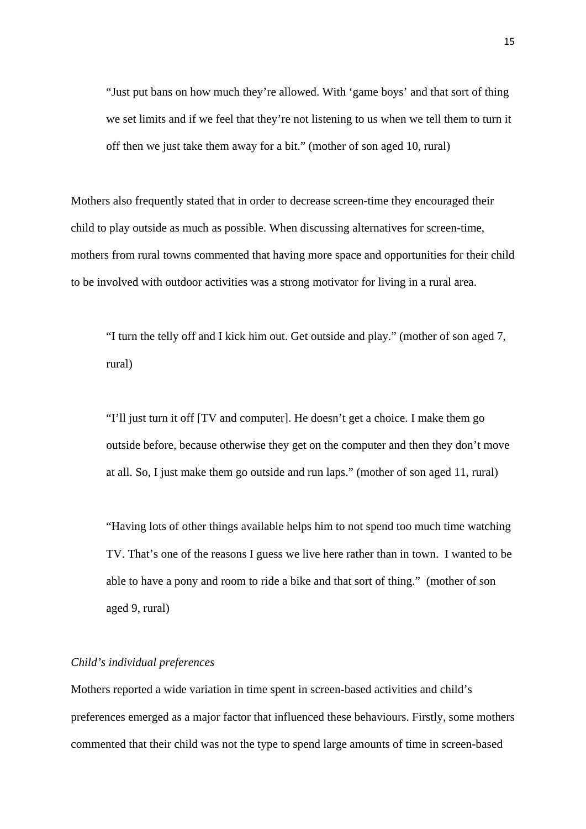"Just put bans on how much they're allowed. With 'game boys' and that sort of thing we set limits and if we feel that they're not listening to us when we tell them to turn it off then we just take them away for a bit." (mother of son aged 10, rural)

Mothers also frequently stated that in order to decrease screen-time they encouraged their child to play outside as much as possible. When discussing alternatives for screen-time, mothers from rural towns commented that having more space and opportunities for their child to be involved with outdoor activities was a strong motivator for living in a rural area.

"I turn the telly off and I kick him out. Get outside and play." (mother of son aged 7, rural)

"I'll just turn it off [TV and computer]. He doesn't get a choice. I make them go outside before, because otherwise they get on the computer and then they don't move at all. So, I just make them go outside and run laps." (mother of son aged 11, rural)

"Having lots of other things available helps him to not spend too much time watching TV. That's one of the reasons I guess we live here rather than in town. I wanted to be able to have a pony and room to ride a bike and that sort of thing." (mother of son aged 9, rural)

# *Child's individual preferences*

Mothers reported a wide variation in time spent in screen-based activities and child's preferences emerged as a major factor that influenced these behaviours. Firstly, some mothers commented that their child was not the type to spend large amounts of time in screen-based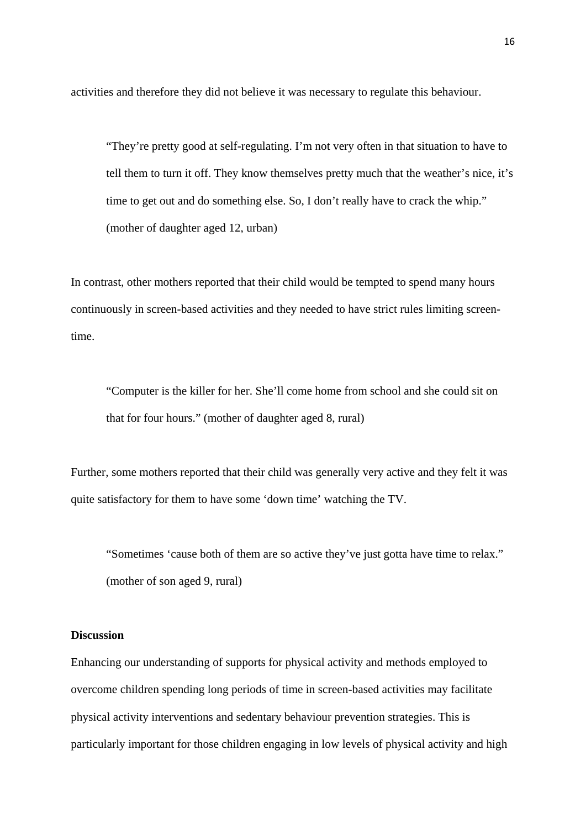activities and therefore they did not believe it was necessary to regulate this behaviour.

"They're pretty good at self-regulating. I'm not very often in that situation to have to tell them to turn it off. They know themselves pretty much that the weather's nice, it's time to get out and do something else. So, I don't really have to crack the whip." (mother of daughter aged 12, urban)

In contrast, other mothers reported that their child would be tempted to spend many hours continuously in screen-based activities and they needed to have strict rules limiting screentime.

"Computer is the killer for her. She'll come home from school and she could sit on that for four hours." (mother of daughter aged 8, rural)

Further, some mothers reported that their child was generally very active and they felt it was quite satisfactory for them to have some 'down time' watching the TV.

 "Sometimes 'cause both of them are so active they've just gotta have time to relax." (mother of son aged 9, rural)

#### **Discussion**

Enhancing our understanding of supports for physical activity and methods employed to overcome children spending long periods of time in screen-based activities may facilitate physical activity interventions and sedentary behaviour prevention strategies. This is particularly important for those children engaging in low levels of physical activity and high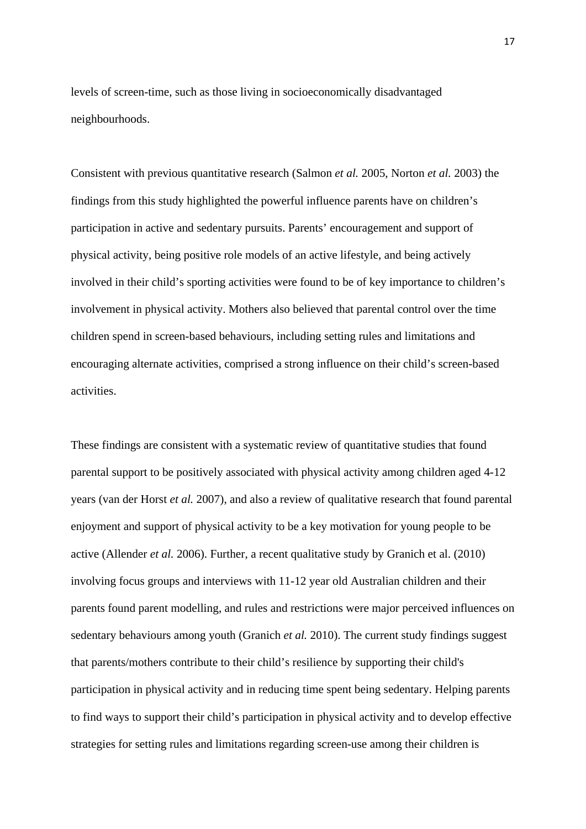levels of screen-time, such as those living in socioeconomically disadvantaged neighbourhoods.

Consistent with previous quantitative research (Salmon *et al.* 2005, Norton *et al.* 2003) the findings from this study highlighted the powerful influence parents have on children's participation in active and sedentary pursuits. Parents' encouragement and support of physical activity, being positive role models of an active lifestyle, and being actively involved in their child's sporting activities were found to be of key importance to children's involvement in physical activity. Mothers also believed that parental control over the time children spend in screen-based behaviours, including setting rules and limitations and encouraging alternate activities, comprised a strong influence on their child's screen-based activities.

These findings are consistent with a systematic review of quantitative studies that found parental support to be positively associated with physical activity among children aged 4-12 years (van der Horst *et al.* 2007), and also a review of qualitative research that found parental enjoyment and support of physical activity to be a key motivation for young people to be active (Allender *et al.* 2006). Further, a recent qualitative study by Granich et al. (2010) involving focus groups and interviews with 11-12 year old Australian children and their parents found parent modelling, and rules and restrictions were major perceived influences on sedentary behaviours among youth (Granich *et al.* 2010). The current study findings suggest that parents/mothers contribute to their child's resilience by supporting their child's participation in physical activity and in reducing time spent being sedentary. Helping parents to find ways to support their child's participation in physical activity and to develop effective strategies for setting rules and limitations regarding screen-use among their children is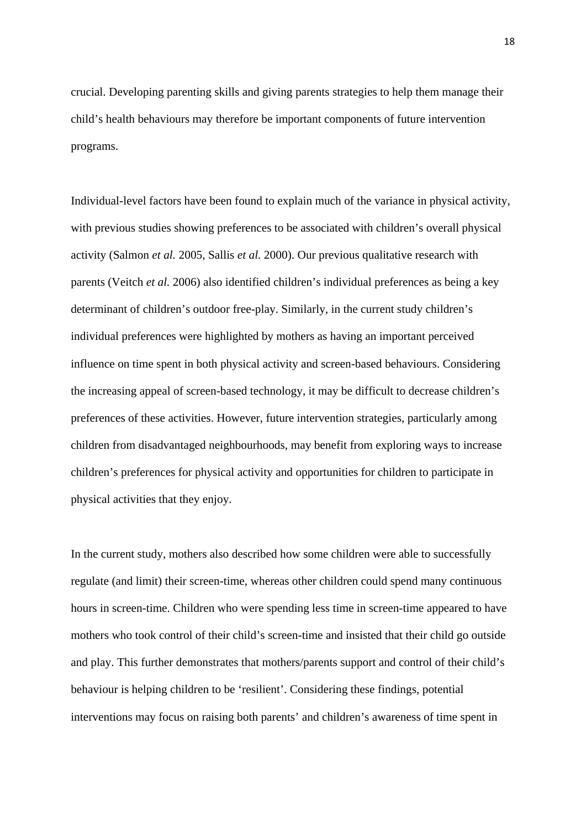crucial. Developing parenting skills and giving parents strategies to help them manage their child's health behaviours may therefore be important components of future intervention programs.

Individual-level factors have been found to explain much of the variance in physical activity, with previous studies showing preferences to be associated with children's overall physical activity (Salmon *et al.* 2005, Sallis *et al.* 2000). Our previous qualitative research with parents (Veitch *et al.* 2006) also identified children's individual preferences as being a key determinant of children's outdoor free-play. Similarly, in the current study children's individual preferences were highlighted by mothers as having an important perceived influence on time spent in both physical activity and screen-based behaviours. Considering the increasing appeal of screen-based technology, it may be difficult to decrease children's preferences of these activities. However, future intervention strategies, particularly among children from disadvantaged neighbourhoods, may benefit from exploring ways to increase children's preferences for physical activity and opportunities for children to participate in physical activities that they enjoy.

In the current study, mothers also described how some children were able to successfully regulate (and limit) their screen-time, whereas other children could spend many continuous hours in screen-time. Children who were spending less time in screen-time appeared to have mothers who took control of their child's screen-time and insisted that their child go outside and play. This further demonstrates that mothers/parents support and control of their child's behaviour is helping children to be 'resilient'. Considering these findings, potential interventions may focus on raising both parents' and children's awareness of time spent in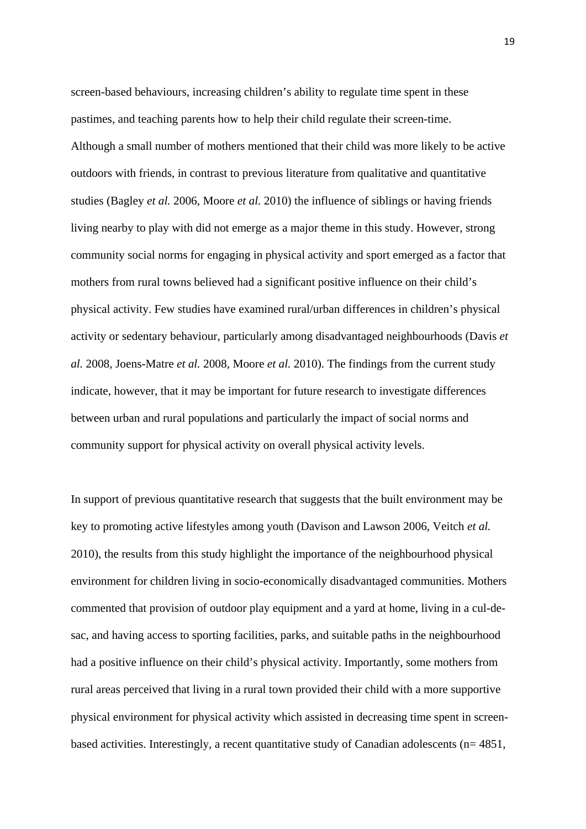screen-based behaviours, increasing children's ability to regulate time spent in these pastimes, and teaching parents how to help their child regulate their screen-time. Although a small number of mothers mentioned that their child was more likely to be active outdoors with friends, in contrast to previous literature from qualitative and quantitative studies (Bagley *et al.* 2006, Moore *et al.* 2010) the influence of siblings or having friends living nearby to play with did not emerge as a major theme in this study. However, strong community social norms for engaging in physical activity and sport emerged as a factor that mothers from rural towns believed had a significant positive influence on their child's physical activity. Few studies have examined rural/urban differences in children's physical activity or sedentary behaviour, particularly among disadvantaged neighbourhoods (Davis *et al.* 2008, Joens-Matre *et al.* 2008, Moore *et al.* 2010). The findings from the current study indicate, however, that it may be important for future research to investigate differences between urban and rural populations and particularly the impact of social norms and community support for physical activity on overall physical activity levels.

In support of previous quantitative research that suggests that the built environment may be key to promoting active lifestyles among youth (Davison and Lawson 2006, Veitch *et al.* 2010), the results from this study highlight the importance of the neighbourhood physical environment for children living in socio-economically disadvantaged communities. Mothers commented that provision of outdoor play equipment and a yard at home, living in a cul-desac, and having access to sporting facilities, parks, and suitable paths in the neighbourhood had a positive influence on their child's physical activity. Importantly, some mothers from rural areas perceived that living in a rural town provided their child with a more supportive physical environment for physical activity which assisted in decreasing time spent in screenbased activities. Interestingly, a recent quantitative study of Canadian adolescents (n= 4851,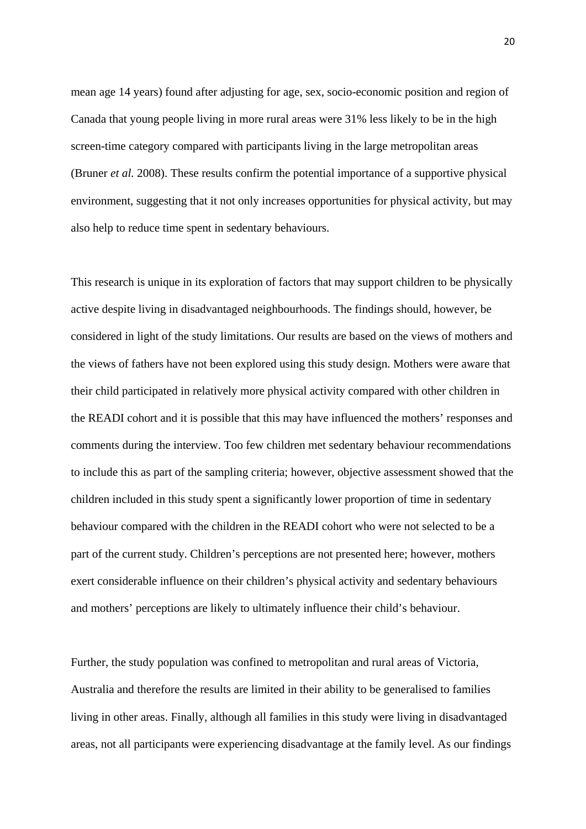mean age 14 years) found after adjusting for age, sex, socio-economic position and region of Canada that young people living in more rural areas were 31% less likely to be in the high screen-time category compared with participants living in the large metropolitan areas (Bruner *et al.* 2008). These results confirm the potential importance of a supportive physical environment, suggesting that it not only increases opportunities for physical activity, but may also help to reduce time spent in sedentary behaviours.

This research is unique in its exploration of factors that may support children to be physically active despite living in disadvantaged neighbourhoods. The findings should, however, be considered in light of the study limitations. Our results are based on the views of mothers and the views of fathers have not been explored using this study design. Mothers were aware that their child participated in relatively more physical activity compared with other children in the READI cohort and it is possible that this may have influenced the mothers' responses and comments during the interview. Too few children met sedentary behaviour recommendations to include this as part of the sampling criteria; however, objective assessment showed that the children included in this study spent a significantly lower proportion of time in sedentary behaviour compared with the children in the READI cohort who were not selected to be a part of the current study. Children's perceptions are not presented here; however, mothers exert considerable influence on their children's physical activity and sedentary behaviours and mothers' perceptions are likely to ultimately influence their child's behaviour.

Further, the study population was confined to metropolitan and rural areas of Victoria, Australia and therefore the results are limited in their ability to be generalised to families living in other areas. Finally, although all families in this study were living in disadvantaged areas, not all participants were experiencing disadvantage at the family level. As our findings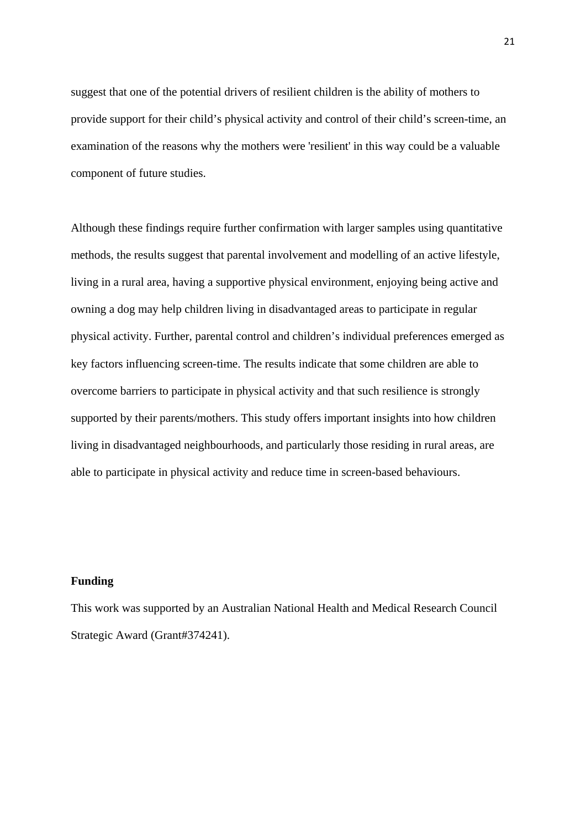suggest that one of the potential drivers of resilient children is the ability of mothers to provide support for their child's physical activity and control of their child's screen-time, an examination of the reasons why the mothers were 'resilient' in this way could be a valuable component of future studies.

Although these findings require further confirmation with larger samples using quantitative methods, the results suggest that parental involvement and modelling of an active lifestyle, living in a rural area, having a supportive physical environment, enjoying being active and owning a dog may help children living in disadvantaged areas to participate in regular physical activity. Further, parental control and children's individual preferences emerged as key factors influencing screen-time. The results indicate that some children are able to overcome barriers to participate in physical activity and that such resilience is strongly supported by their parents/mothers. This study offers important insights into how children living in disadvantaged neighbourhoods, and particularly those residing in rural areas, are able to participate in physical activity and reduce time in screen-based behaviours.

# **Funding**

This work was supported by an Australian National Health and Medical Research Council Strategic Award (Grant#374241).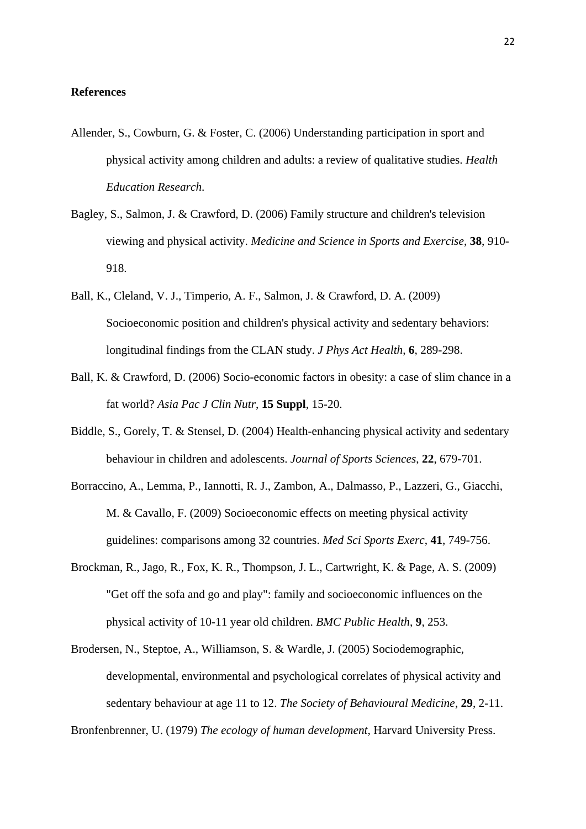# **References**

- Allender, S., Cowburn, G. & Foster, C. (2006) Understanding participation in sport and physical activity among children and adults: a review of qualitative studies. *Health Education Research*.
- Bagley, S., Salmon, J. & Crawford, D. (2006) Family structure and children's television viewing and physical activity. *Medicine and Science in Sports and Exercise*, **38**, 910- 918.
- Ball, K., Cleland, V. J., Timperio, A. F., Salmon, J. & Crawford, D. A. (2009) Socioeconomic position and children's physical activity and sedentary behaviors: longitudinal findings from the CLAN study. *J Phys Act Health*, **6**, 289-298.
- Ball, K. & Crawford, D. (2006) Socio-economic factors in obesity: a case of slim chance in a fat world? *Asia Pac J Clin Nutr*, **15 Suppl**, 15-20.
- Biddle, S., Gorely, T. & Stensel, D. (2004) Health-enhancing physical activity and sedentary behaviour in children and adolescents. *Journal of Sports Sciences*, **22**, 679-701.
- Borraccino, A., Lemma, P., Iannotti, R. J., Zambon, A., Dalmasso, P., Lazzeri, G., Giacchi, M. & Cavallo, F. (2009) Socioeconomic effects on meeting physical activity guidelines: comparisons among 32 countries. *Med Sci Sports Exerc*, **41**, 749-756.
- Brockman, R., Jago, R., Fox, K. R., Thompson, J. L., Cartwright, K. & Page, A. S. (2009) "Get off the sofa and go and play": family and socioeconomic influences on the physical activity of 10-11 year old children. *BMC Public Health*, **9**, 253.
- Brodersen, N., Steptoe, A., Williamson, S. & Wardle, J. (2005) Sociodemographic, developmental, environmental and psychological correlates of physical activity and sedentary behaviour at age 11 to 12. *The Society of Behavioural Medicine*, **29**, 2-11.

Bronfenbrenner, U. (1979) *The ecology of human development,* Harvard University Press.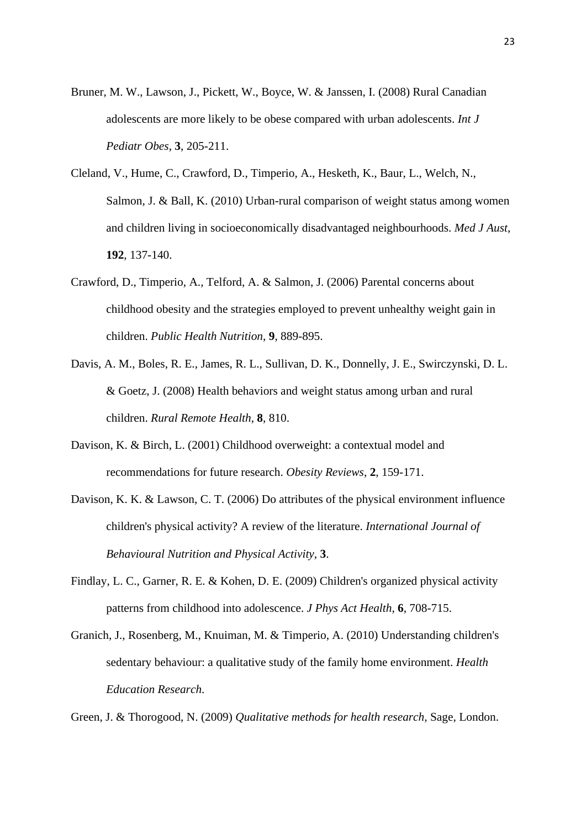- Bruner, M. W., Lawson, J., Pickett, W., Boyce, W. & Janssen, I. (2008) Rural Canadian adolescents are more likely to be obese compared with urban adolescents. *Int J Pediatr Obes*, **3**, 205-211.
- Cleland, V., Hume, C., Crawford, D., Timperio, A., Hesketh, K., Baur, L., Welch, N., Salmon, J. & Ball, K. (2010) Urban-rural comparison of weight status among women and children living in socioeconomically disadvantaged neighbourhoods. *Med J Aust*, **192**, 137-140.
- Crawford, D., Timperio, A., Telford, A. & Salmon, J. (2006) Parental concerns about childhood obesity and the strategies employed to prevent unhealthy weight gain in children. *Public Health Nutrition*, **9**, 889-895.
- Davis, A. M., Boles, R. E., James, R. L., Sullivan, D. K., Donnelly, J. E., Swirczynski, D. L. & Goetz, J. (2008) Health behaviors and weight status among urban and rural children. *Rural Remote Health*, **8**, 810.
- Davison, K. & Birch, L. (2001) Childhood overweight: a contextual model and recommendations for future research. *Obesity Reviews*, **2**, 159-171.
- Davison, K. K. & Lawson, C. T. (2006) Do attributes of the physical environment influence children's physical activity? A review of the literature. *International Journal of Behavioural Nutrition and Physical Activity*, **3**.
- Findlay, L. C., Garner, R. E. & Kohen, D. E. (2009) Children's organized physical activity patterns from childhood into adolescence. *J Phys Act Health*, **6**, 708-715.
- Granich, J., Rosenberg, M., Knuiman, M. & Timperio, A. (2010) Understanding children's sedentary behaviour: a qualitative study of the family home environment. *Health Education Research*.

Green, J. & Thorogood, N. (2009) *Qualitative methods for health research,* Sage, London.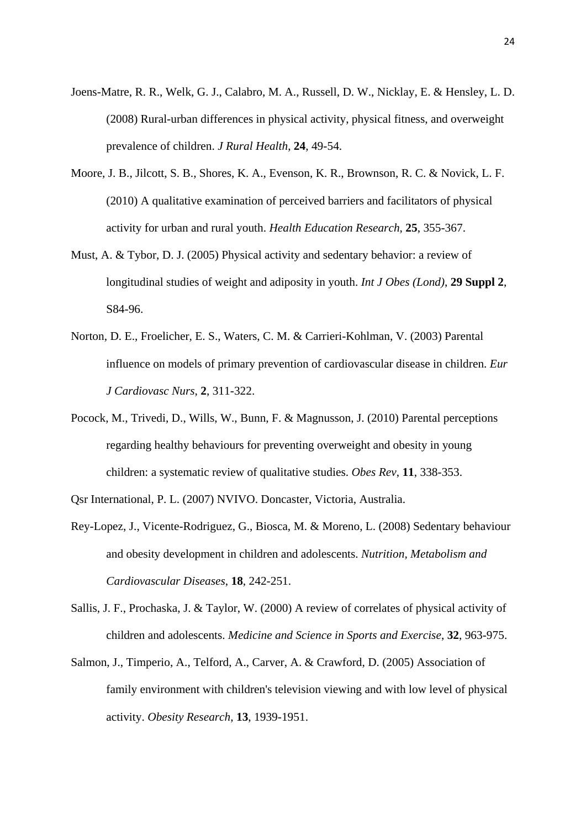- Joens-Matre, R. R., Welk, G. J., Calabro, M. A., Russell, D. W., Nicklay, E. & Hensley, L. D. (2008) Rural-urban differences in physical activity, physical fitness, and overweight prevalence of children. *J Rural Health*, **24**, 49-54.
- Moore, J. B., Jilcott, S. B., Shores, K. A., Evenson, K. R., Brownson, R. C. & Novick, L. F. (2010) A qualitative examination of perceived barriers and facilitators of physical activity for urban and rural youth. *Health Education Research*, **25**, 355-367.
- Must, A. & Tybor, D. J. (2005) Physical activity and sedentary behavior: a review of longitudinal studies of weight and adiposity in youth. *Int J Obes (Lond)*, **29 Suppl 2**, S84-96.
- Norton, D. E., Froelicher, E. S., Waters, C. M. & Carrieri-Kohlman, V. (2003) Parental influence on models of primary prevention of cardiovascular disease in children. *Eur J Cardiovasc Nurs*, **2**, 311-322.
- Pocock, M., Trivedi, D., Wills, W., Bunn, F. & Magnusson, J. (2010) Parental perceptions regarding healthy behaviours for preventing overweight and obesity in young children: a systematic review of qualitative studies. *Obes Rev*, **11**, 338-353.
- Qsr International, P. L. (2007) NVIVO. Doncaster, Victoria, Australia.
- Rey-Lopez, J., Vicente-Rodriguez, G., Biosca, M. & Moreno, L. (2008) Sedentary behaviour and obesity development in children and adolescents. *Nutrition, Metabolism and Cardiovascular Diseases*, **18**, 242-251.
- Sallis, J. F., Prochaska, J. & Taylor, W. (2000) A review of correlates of physical activity of children and adolescents. *Medicine and Science in Sports and Exercise*, **32**, 963-975.
- Salmon, J., Timperio, A., Telford, A., Carver, A. & Crawford, D. (2005) Association of family environment with children's television viewing and with low level of physical activity. *Obesity Research*, **13**, 1939-1951.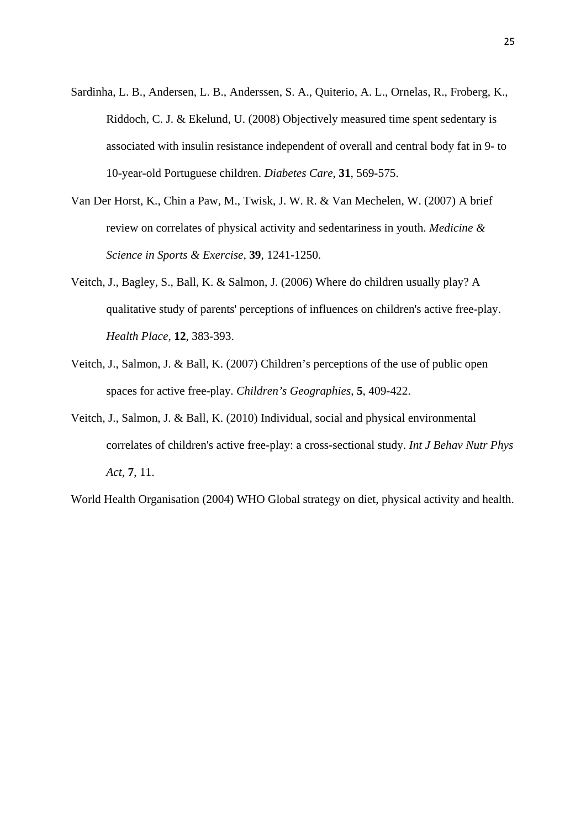- Sardinha, L. B., Andersen, L. B., Anderssen, S. A., Quiterio, A. L., Ornelas, R., Froberg, K., Riddoch, C. J. & Ekelund, U. (2008) Objectively measured time spent sedentary is associated with insulin resistance independent of overall and central body fat in 9- to 10-year-old Portuguese children. *Diabetes Care*, **31**, 569-575.
- Van Der Horst, K., Chin a Paw, M., Twisk, J. W. R. & Van Mechelen, W. (2007) A brief review on correlates of physical activity and sedentariness in youth. *Medicine & Science in Sports & Exercise*, **39**, 1241-1250.
- Veitch, J., Bagley, S., Ball, K. & Salmon, J. (2006) Where do children usually play? A qualitative study of parents' perceptions of influences on children's active free-play. *Health Place*, **12**, 383-393.
- Veitch, J., Salmon, J. & Ball, K. (2007) Children's perceptions of the use of public open spaces for active free-play. *Children's Geographies*, **5**, 409-422.
- Veitch, J., Salmon, J. & Ball, K. (2010) Individual, social and physical environmental correlates of children's active free-play: a cross-sectional study. *Int J Behav Nutr Phys Act*, **7**, 11.

World Health Organisation (2004) WHO Global strategy on diet, physical activity and health.